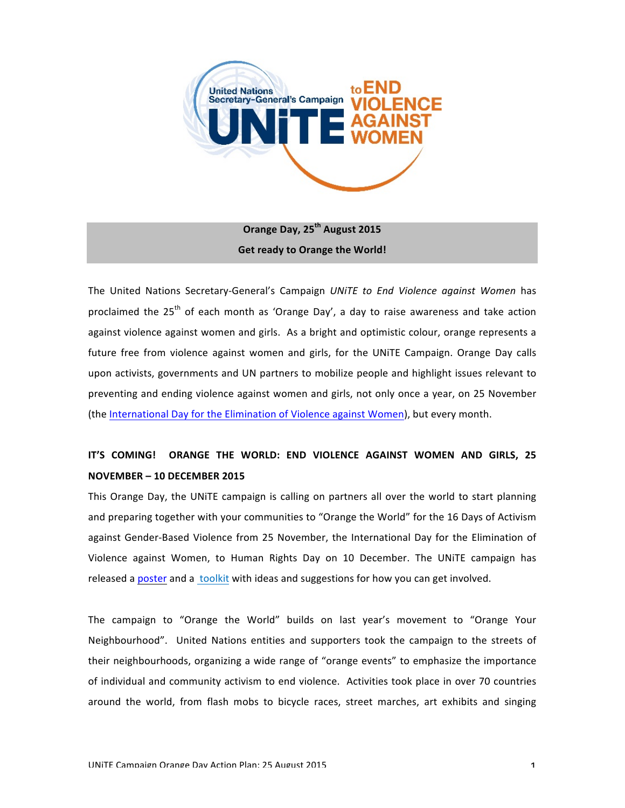

**Orange Day, 25th August 2015 Get ready to Orange the World!** 

The United Nations Secretary-General's Campaign *UNITE* to End Violence against Women has proclaimed the  $25<sup>th</sup>$  of each month as 'Orange Day', a day to raise awareness and take action against violence against women and girls. As a bright and optimistic colour, orange represents a future free from violence against women and girls, for the UNITE Campaign. Orange Day calls upon activists, governments and UN partners to mobilize people and highlight issues relevant to preventing and ending violence against women and girls, not only once a year, on 25 November (the International Day for the Elimination of Violence against Women), but every month.

# **IT'S COMING!** ORANGE THE WORLD: END VIOLENCE AGAINST WOMEN AND GIRLS, 25 **NOVEMBER – 10 DECEMBER 2015**

This Orange Day, the UNITE campaign is calling on partners all over the world to start planning and preparing together with your communities to "Orange the World" for the 16 Days of Activism against Gender-Based Violence from 25 November, the International Day for the Elimination of Violence against Women, to Human Rights Day on 10 December. The UNITE campaign has released a poster and a toolkit with ideas and suggestions for how you can get involved.

The campaign to "Orange the World" builds on last year's movement to "Orange Your Neighbourhood". United Nations entities and supporters took the campaign to the streets of their neighbourhoods, organizing a wide range of "orange events" to emphasize the importance of individual and community activism to end violence. Activities took place in over 70 countries around the world, from flash mobs to bicycle races, street marches, art exhibits and singing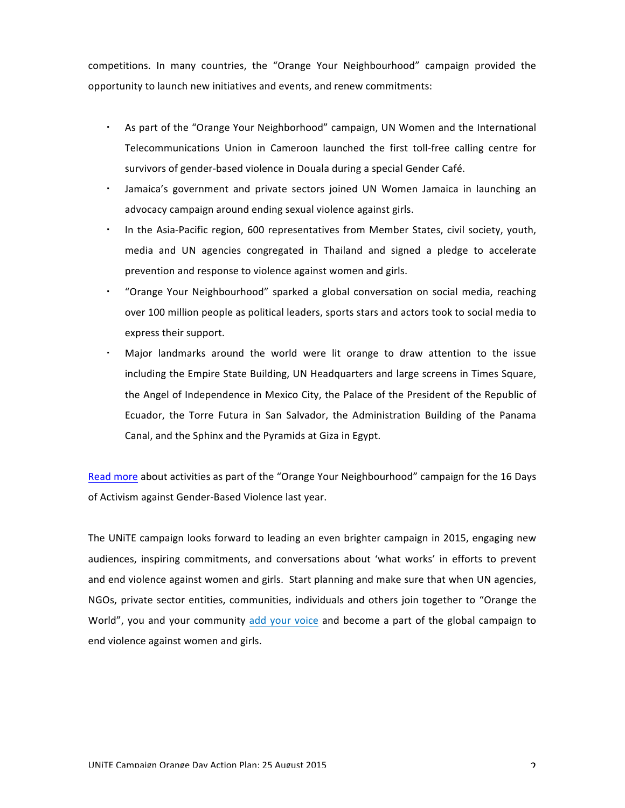competitions. In many countries, the "Orange Your Neighbourhood" campaign provided the opportunity to launch new initiatives and events, and renew commitments:

- As part of the "Orange Your Neighborhood" campaign, UN Women and the International Telecommunications Union in Cameroon launched the first toll-free calling centre for survivors of gender-based violence in Douala during a special Gender Café.
- Jamaica's government and private sectors joined UN Women Jamaica in launching an advocacy campaign around ending sexual violence against girls.
- In the Asia-Pacific region, 600 representatives from Member States, civil society, youth, media and UN agencies congregated in Thailand and signed a pledge to accelerate prevention and response to violence against women and girls.
- "Orange Your Neighbourhood" sparked a global conversation on social media, reaching over 100 million people as political leaders, sports stars and actors took to social media to express their support.
- Major landmarks around the world were lit orange to draw attention to the issue including the Empire State Building, UN Headquarters and large screens in Times Square, the Angel of Independence in Mexico City, the Palace of the President of the Republic of Ecuador, the Torre Futura in San Salvador, the Administration Building of the Panama Canal, and the Sphinx and the Pyramids at Giza in Egypt.

Read more about activities as part of the "Orange Your Neighbourhood" campaign for the 16 Days of Activism against Gender-Based Violence last year.

The UNITE campaign looks forward to leading an even brighter campaign in 2015, engaging new audiences, inspiring commitments, and conversations about 'what works' in efforts to prevent and end violence against women and girls. Start planning and make sure that when UN agencies, NGOs, private sector entities, communities, individuals and others join together to "Orange the World", you and your community add your voice and become a part of the global campaign to end violence against women and girls.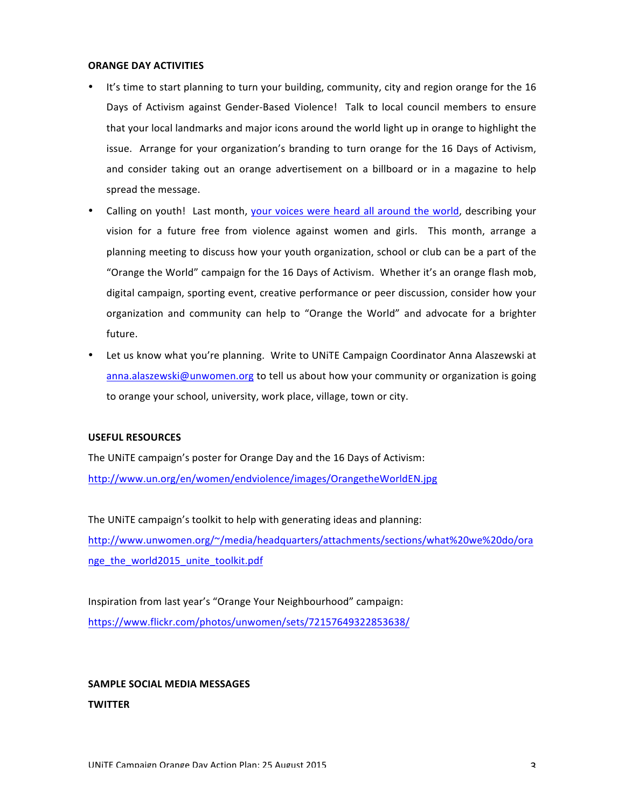#### **ORANGE DAY ACTIVITIES**

- It's time to start planning to turn your building, community, city and region orange for the 16 Days of Activism against Gender-Based Violence! Talk to local council members to ensure that your local landmarks and major icons around the world light up in orange to highlight the issue. Arrange for your organization's branding to turn orange for the 16 Days of Activism, and consider taking out an orange advertisement on a billboard or in a magazine to help spread the message.
- Calling on youth! Last month, your voices were heard all around the world, describing your vision for a future free from violence against women and girls. This month, arrange a planning meeting to discuss how your youth organization, school or club can be a part of the "Orange the World" campaign for the 16 Days of Activism. Whether it's an orange flash mob, digital campaign, sporting event, creative performance or peer discussion, consider how your organization and community can help to "Orange the World" and advocate for a brighter future.
- Let us know what you're planning. Write to UNITE Campaign Coordinator Anna Alaszewski at anna.alaszewski@unwomen.org to tell us about how your community or organization is going to orange your school, university, work place, village, town or city.

## **USEFUL RESOURCES**

The UNITE campaign's poster for Orange Day and the 16 Days of Activism: http://www.un.org/en/women/endviolence/images/OrangetheWorldEN.jpg

The UNITE campaign's toolkit to help with generating ideas and planning: http://www.unwomen.org/~/media/headquarters/attachments/sections/what%20we%20do/ora nge\_the\_world2015\_unite\_toolkit.pdf

Inspiration from last year's "Orange Your Neighbourhood" campaign: https://www.flickr.com/photos/unwomen/sets/72157649322853638/

# **SAMPLE SOCIAL MEDIA MESSAGES**

# **TWITTER**